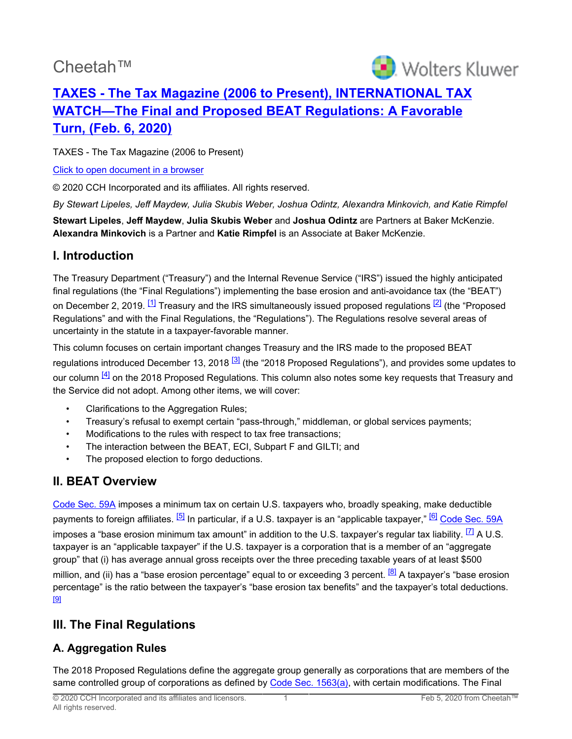# Cheetah™

<span id="page-0-1"></span>

## **[TAXES - The Tax Magazine \(2006 to Present\), INTERNATIONAL TAX](http://prod.resource.cch.com/resource/scion/document/default/%28%40%40MAG01+JOUR-STORY202003-2%29abee006a7d821000b5d6005056886db705?cfu=Legal&cpid=WKUS-Legal-Cheetah&uAppCtx=cheetah) [WATCH—The Final and Proposed BEAT Regulations: A Favorable](http://prod.resource.cch.com/resource/scion/document/default/%28%40%40MAG01+JOUR-STORY202003-2%29abee006a7d821000b5d6005056886db705?cfu=Legal&cpid=WKUS-Legal-Cheetah&uAppCtx=cheetah) [Turn, \(Feb. 6, 2020\)](http://prod.resource.cch.com/resource/scion/document/default/%28%40%40MAG01+JOUR-STORY202003-2%29abee006a7d821000b5d6005056886db705?cfu=Legal&cpid=WKUS-Legal-Cheetah&uAppCtx=cheetah)**

TAXES - The Tax Magazine (2006 to Present)

[Click to open document in a browser](https://prod.resource.cch.com/resource/scion/document/default/%28%40%40MAG01+JOUR-STORY202003-2%29abee006a7d821000b5d6005056886db705?cfu=Legal&cpid=WKUS-Legal-Cheetah&uAppCtx=cheetah)

© 2020 CCH Incorporated and its affiliates. All rights reserved.

*By Stewart Lipeles, Jeff Maydew, Julia Skubis Weber, Joshua Odintz, Alexandra Minkovich, and Katie Rimpfel*

**Stewart Lipeles**, **Jeff Maydew**, **Julia Skubis Weber** and **Joshua Odintz** are Partners at Baker McKenzie. **Alexandra Minkovich** is a Partner and **Katie Rimpfel** is an Associate at Baker McKenzie.

#### **I. Introduction**

<span id="page-0-0"></span>The Treasury Department ("Treasury") and the Internal Revenue Service ("IRS") issued the highly anticipated final regulations (the "Final Regulations") implementing the base erosion and anti-avoidance tax (the "BEAT") on December 2, 2019. <sup>[\[1\]](#page-8-0)</sup> Treasury and the IRS simultaneously issued proposed regulations <sup>[\[2\]](#page-8-1)</sup> (the "Proposed Regulations" and with the Final Regulations, the "Regulations"). The Regulations resolve several areas of uncertainty in the statute in a taxpayer-favorable manner.

This column focuses on certain important changes Treasury and the IRS made to the proposed BEAT regulations introduced December 13, 2018 <sup>[\[3\]](#page-8-2)</sup> (the "2018 Proposed Regulations"), and provides some updates to our column  $[4]$  on the 2018 Proposed Regulations. This column also notes some key requests that Treasury and the Service did not adopt. Among other items, we will cover:

- <span id="page-0-3"></span><span id="page-0-2"></span>• Clarifications to the Aggregation Rules;
- Treasury's refusal to exempt certain "pass-through," middleman, or global services payments;
- Modifications to the rules with respect to tax free transactions;
- The interaction between the BEAT, ECI, Subpart F and GILTI; and
- <span id="page-0-6"></span><span id="page-0-5"></span>The proposed election to forgo deductions.

## **II. BEAT Overview**

<span id="page-0-4"></span>[Code Sec. 59A](https://prod.resource.cch.com/resource/scion/citation/pit/S59A/IRC-FILE?cfu=Legal&cpid=WKUS-Legal-Cheetah&uAppCtx=cheetah) imposes a minimum tax on certain U.S. taxpayers who, broadly speaking, make deductible payments to foreign affiliates. <sup>[\[5\]](#page-8-4)</sup> In particular, if a U.S. taxpayer is an "applicable taxpayer," <sup>[\[6\]](#page-8-5)</sup> [Code Sec. 59A](https://prod.resource.cch.com/resource/scion/citation/pit/S59A/IRC-FILE?cfu=Legal&cpid=WKUS-Legal-Cheetah&uAppCtx=cheetah) imposes a "base erosion minimum tax amount" in addition to the U.S. taxpayer's regular tax liability.  $\boxed{7}$  A U.S. taxpayer is an "applicable taxpayer" if the U.S. taxpayer is a corporation that is a member of an "aggregate group" that (i) has average annual gross receipts over the three preceding taxable years of at least \$500 million, and (ii) has a "base erosion percentage" equal to or exceeding 3 percent. <sup>[\[8\]](#page-8-7)</sup> A taxpayer's "base erosion percentage" is the ratio between the taxpayer's "base erosion tax benefits" and the taxpayer's total deductions. [\[9\]](#page-8-8)

## <span id="page-0-8"></span><span id="page-0-7"></span>**III. The Final Regulations**

### **A. Aggregation Rules**

The 2018 Proposed Regulations define the aggregate group generally as corporations that are members of the same controlled group of corporations as defined by [Code Sec. 1563\(a\),](https://prod.resource.cch.com/resource/scion/citation/pit/S1563%28a%29/IRC-FILE?cfu=Legal&cpid=WKUS-Legal-Cheetah&uAppCtx=cheetah) with certain modifications. The Final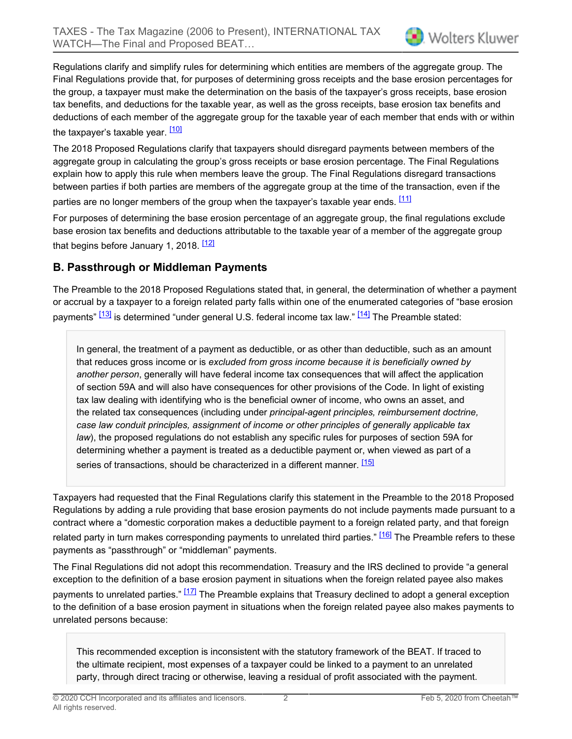Regulations clarify and simplify rules for determining which entities are members of the aggregate group. The Final Regulations provide that, for purposes of determining gross receipts and the base erosion percentages for the group, a taxpayer must make the determination on the basis of the taxpayer's gross receipts, base erosion tax benefits, and deductions for the taxable year, as well as the gross receipts, base erosion tax benefits and deductions of each member of the aggregate group for the taxable year of each member that ends with or within the taxpayer's taxable year. <sup>[\[10\]](#page-8-9)</sup>

<span id="page-1-0"></span>The 2018 Proposed Regulations clarify that taxpayers should disregard payments between members of the aggregate group in calculating the group's gross receipts or base erosion percentage. The Final Regulations explain how to apply this rule when members leave the group. The Final Regulations disregard transactions between parties if both parties are members of the aggregate group at the time of the transaction, even if the parties are no longer members of the group when the taxpayer's taxable year ends. [\[11\]](#page-8-10)

<span id="page-1-2"></span><span id="page-1-1"></span>For purposes of determining the base erosion percentage of an aggregate group, the final regulations exclude base erosion tax benefits and deductions attributable to the taxable year of a member of the aggregate group that begins before January 1, 2018.  $\frac{12}{2}$ 

#### **B. Passthrough or Middleman Payments**

The Preamble to the 2018 Proposed Regulations stated that, in general, the determination of whether a payment or accrual by a taxpayer to a foreign related party falls within one of the enumerated categories of "base erosion payments"  $\frac{[13]}{]}$  $\frac{[13]}{]}$  $\frac{[13]}{]}$  is determined "under general U.S. federal income tax law."  $\frac{[14]}{]}$  $\frac{[14]}{]}$  $\frac{[14]}{]}$  The Preamble stated:

<span id="page-1-5"></span><span id="page-1-4"></span><span id="page-1-3"></span>In general, the treatment of a payment as deductible, or as other than deductible, such as an amount that reduces gross income or is *excluded from gross income because it is beneficially owned by another person*, generally will have federal income tax consequences that will affect the application of section 59A and will also have consequences for other provisions of the Code. In light of existing tax law dealing with identifying who is the beneficial owner of income, who owns an asset, and the related tax consequences (including under *principal-agent principles, reimbursement doctrine, case law conduit principles, assignment of income or other principles of generally applicable tax law*), the proposed regulations do not establish any specific rules for purposes of section 59A for determining whether a payment is treated as a deductible payment or, when viewed as part of a series of transactions, should be characterized in a different manner. [\[15\]](#page-9-1)

Taxpayers had requested that the Final Regulations clarify this statement in the Preamble to the 2018 Proposed Regulations by adding a rule providing that base erosion payments do not include payments made pursuant to a contract where a "domestic corporation makes a deductible payment to a foreign related party, and that foreign related party in turn makes corresponding payments to unrelated third parties." [\[16\]](#page-9-2) The Preamble refers to these payments as "passthrough" or "middleman" payments.

The Final Regulations did not adopt this recommendation. Treasury and the IRS declined to provide "a general exception to the definition of a base erosion payment in situations when the foreign related payee also makes payments to unrelated parties." [\[17\]](#page-9-3) The Preamble explains that Treasury declined to adopt a general exception to the definition of a base erosion payment in situations when the foreign related payee also makes payments to unrelated persons because:

<span id="page-1-7"></span><span id="page-1-6"></span>This recommended exception is inconsistent with the statutory framework of the BEAT. If traced to the ultimate recipient, most expenses of a taxpayer could be linked to a payment to an unrelated party, through direct tracing or otherwise, leaving a residual of profit associated with the payment.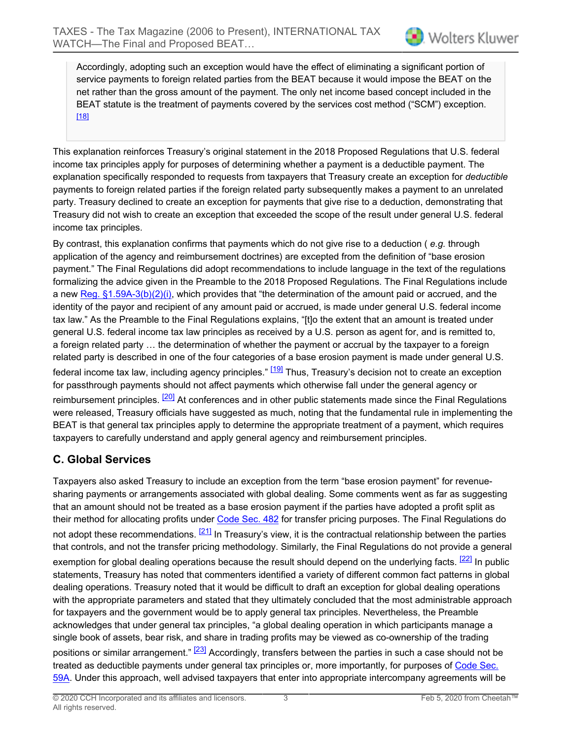Accordingly, adopting such an exception would have the effect of eliminating a significant portion of service payments to foreign related parties from the BEAT because it would impose the BEAT on the net rather than the gross amount of the payment. The only net income based concept included in the BEAT statute is the treatment of payments covered by the services cost method ("SCM") exception. [\[18\]](#page-9-4)

<span id="page-2-0"></span>This explanation reinforces Treasury's original statement in the 2018 Proposed Regulations that U.S. federal income tax principles apply for purposes of determining whether a payment is a deductible payment. The explanation specifically responded to requests from taxpayers that Treasury create an exception for *deductible* payments to foreign related parties if the foreign related party subsequently makes a payment to an unrelated party. Treasury declined to create an exception for payments that give rise to a deduction, demonstrating that Treasury did not wish to create an exception that exceeded the scope of the result under general U.S. federal income tax principles.

By contrast, this explanation confirms that payments which do not give rise to a deduction ( *e.g.* through application of the agency and reimbursement doctrines) are excepted from the definition of "base erosion payment." The Final Regulations did adopt recommendations to include language in the text of the regulations formalizing the advice given in the Preamble to the 2018 Proposed Regulations. The Final Regulations include a new Reg.  $\S1.59A-3(b)(2)(i)$ , which provides that "the determination of the amount paid or accrued, and the identity of the payor and recipient of any amount paid or accrued, is made under general U.S. federal income tax law." As the Preamble to the Final Regulations explains, "[t]o the extent that an amount is treated under general U.S. federal income tax law principles as received by a U.S. person as agent for, and is remitted to, a foreign related party … the determination of whether the payment or accrual by the taxpayer to a foreign related party is described in one of the four categories of a base erosion payment is made under general U.S. federal income tax law, including agency principles." <sup>[\[19\]](#page-9-5)</sup> Thus, Treasury's decision not to create an exception for passthrough payments should not affect payments which otherwise fall under the general agency or reimbursement principles. <sup>[\[20\]](#page-9-6)</sup> At conferences and in other public statements made since the Final Regulations were released, Treasury officials have suggested as much, noting that the fundamental rule in implementing the BEAT is that general tax principles apply to determine the appropriate treatment of a payment, which requires taxpayers to carefully understand and apply general agency and reimbursement principles.

### <span id="page-2-2"></span><span id="page-2-1"></span>**C. Global Services**

<span id="page-2-5"></span><span id="page-2-4"></span><span id="page-2-3"></span>Taxpayers also asked Treasury to include an exception from the term "base erosion payment" for revenuesharing payments or arrangements associated with global dealing. Some comments went as far as suggesting that an amount should not be treated as a base erosion payment if the parties have adopted a profit split as their method for allocating profits under [Code Sec. 482](https://prod.resource.cch.com/resource/scion/citation/pit/S482/IRC-FILE?cfu=Legal&cpid=WKUS-Legal-Cheetah&uAppCtx=cheetah) for transfer pricing purposes. The Final Regulations do not adopt these recommendations.  $[21]$  In Treasury's view, it is the contractual relationship between the parties that controls, and not the transfer pricing methodology. Similarly, the Final Regulations do not provide a general exemption for global dealing operations because the result should depend on the underlying facts. <sup>[\[22\]](#page-9-8)</sup> In public statements, Treasury has noted that commenters identified a variety of different common fact patterns in global dealing operations. Treasury noted that it would be difficult to draft an exception for global dealing operations with the appropriate parameters and stated that they ultimately concluded that the most administrable approach for taxpayers and the government would be to apply general tax principles. Nevertheless, the Preamble acknowledges that under general tax principles, "a global dealing operation in which participants manage a single book of assets, bear risk, and share in trading profits may be viewed as co-ownership of the trading positions or similar arrangement." <sup>[\[23\]](#page-9-9)</sup> Accordingly, transfers between the parties in such a case should not be treated as deductible payments under general tax principles or, more importantly, for purposes of [Code Sec.](https://prod.resource.cch.com/resource/scion/citation/pit/S59A/IRC-FILE?cfu=Legal&cpid=WKUS-Legal-Cheetah&uAppCtx=cheetah) [59A](https://prod.resource.cch.com/resource/scion/citation/pit/S59A/IRC-FILE?cfu=Legal&cpid=WKUS-Legal-Cheetah&uAppCtx=cheetah). Under this approach, well advised taxpayers that enter into appropriate intercompany agreements will be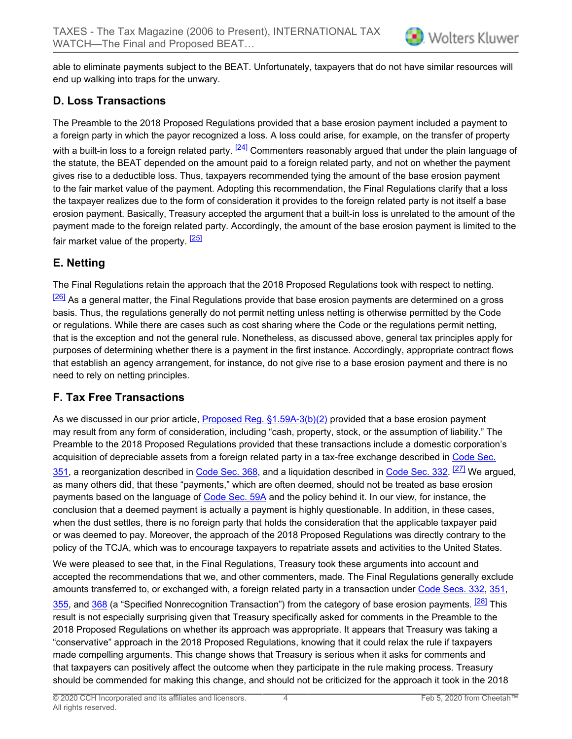able to eliminate payments subject to the BEAT. Unfortunately, taxpayers that do not have similar resources will end up walking into traps for the unwary.

#### **D. Loss Transactions**

<span id="page-3-0"></span>The Preamble to the 2018 Proposed Regulations provided that a base erosion payment included a payment to a foreign party in which the payor recognized a loss. A loss could arise, for example, on the transfer of property with a built-in loss to a foreign related party. <sup>[\[24\]](#page-9-10)</sup> Commenters reasonably argued that under the plain language of the statute, the BEAT depended on the amount paid to a foreign related party, and not on whether the payment gives rise to a deductible loss. Thus, taxpayers recommended tying the amount of the base erosion payment to the fair market value of the payment. Adopting this recommendation, the Final Regulations clarify that a loss the taxpayer realizes due to the form of consideration it provides to the foreign related party is not itself a base erosion payment. Basically, Treasury accepted the argument that a built-in loss is unrelated to the amount of the payment made to the foreign related party. Accordingly, the amount of the base erosion payment is limited to the fair market value of the property. <sup>[\[25\]](#page-9-11)</sup>

#### <span id="page-3-1"></span>**E. Netting**

<span id="page-3-2"></span>The Final Regulations retain the approach that the 2018 Proposed Regulations took with respect to netting. <sup>[\[26\]](#page-9-12)</sup> As a general matter, the Final Regulations provide that base erosion payments are determined on a gross basis. Thus, the regulations generally do not permit netting unless netting is otherwise permitted by the Code or regulations. While there are cases such as cost sharing where the Code or the regulations permit netting, that is the exception and not the general rule. Nonetheless, as discussed above, general tax principles apply for purposes of determining whether there is a payment in the first instance. Accordingly, appropriate contract flows that establish an agency arrangement, for instance, do not give rise to a base erosion payment and there is no need to rely on netting principles.

#### **F. Tax Free Transactions**

<span id="page-3-3"></span>As we discussed in our prior article, [Proposed Reg. §1.59A-3\(b\)\(2\)](https://prod.resource.cch.com/resource/scion/citation/pit/S1.59A-3%28b%29%282%29/FED-FNL?cfu=Legal&cpid=WKUS-Legal-Cheetah&uAppCtx=cheetah) provided that a base erosion payment may result from any form of consideration, including "cash, property, stock, or the assumption of liability." The Preamble to the 2018 Proposed Regulations provided that these transactions include a domestic corporation's acquisition of depreciable assets from a foreign related party in a tax-free exchange described in [Code Sec.](https://prod.resource.cch.com/resource/scion/citation/pit/S351/IRC-FILE?cfu=Legal&cpid=WKUS-Legal-Cheetah&uAppCtx=cheetah) <mark>[351](https://prod.resource.cch.com/resource/scion/citation/pit/S351/IRC-FILE?cfu=Legal&cpid=WKUS-Legal-Cheetah&uAppCtx=cheetah)</mark>, a reorganization described in <u>[Code Sec. 368,](https://prod.resource.cch.com/resource/scion/citation/pit/S368/IRC-FILE?cfu=Legal&cpid=WKUS-Legal-Cheetah&uAppCtx=cheetah)</u> and a liquidation described in <u>Code Sec. 332</u>. <sup>[\[27\]](#page-9-13)</sup> We argued, as many others did, that these "payments," which are often deemed, should not be treated as base erosion payments based on the language of [Code Sec. 59A](https://prod.resource.cch.com/resource/scion/citation/pit/S59A/IRC-FILE?cfu=Legal&cpid=WKUS-Legal-Cheetah&uAppCtx=cheetah) and the policy behind it. In our view, for instance, the conclusion that a deemed payment is actually a payment is highly questionable. In addition, in these cases, when the dust settles, there is no foreign party that holds the consideration that the applicable taxpayer paid or was deemed to pay. Moreover, the approach of the 2018 Proposed Regulations was directly contrary to the policy of the TCJA, which was to encourage taxpayers to repatriate assets and activities to the United States.

<span id="page-3-4"></span>We were pleased to see that, in the Final Regulations, Treasury took these arguments into account and accepted the recommendations that we, and other commenters, made. The Final Regulations generally exclude amounts transferred to, or exchanged with, a foreign related party in a transaction under [Code Secs. 332,](https://prod.resource.cch.com/resource/scion/citation/pit/S332/IRC-FILE?cfu=Legal&cpid=WKUS-Legal-Cheetah&uAppCtx=cheetah) [351,](https://prod.resource.cch.com/resource/scion/citation/pit/S351/IRC-FILE?cfu=Legal&cpid=WKUS-Legal-Cheetah&uAppCtx=cheetah) [355](https://prod.resource.cch.com/resource/scion/citation/pit/S355/IRC-FILE?cfu=Legal&cpid=WKUS-Legal-Cheetah&uAppCtx=cheetah), and [368](https://prod.resource.cch.com/resource/scion/citation/pit/S368/IRC-FILE?cfu=Legal&cpid=WKUS-Legal-Cheetah&uAppCtx=cheetah) (a "Specified Nonrecognition Transaction") from the category of base erosion payments. <sup>[\[28\]](#page-9-14)</sup> This result is not especially surprising given that Treasury specifically asked for comments in the Preamble to the 2018 Proposed Regulations on whether its approach was appropriate. It appears that Treasury was taking a "conservative" approach in the 2018 Proposed Regulations, knowing that it could relax the rule if taxpayers made compelling arguments. This change shows that Treasury is serious when it asks for comments and that taxpayers can positively affect the outcome when they participate in the rule making process. Treasury should be commended for making this change, and should not be criticized for the approach it took in the 2018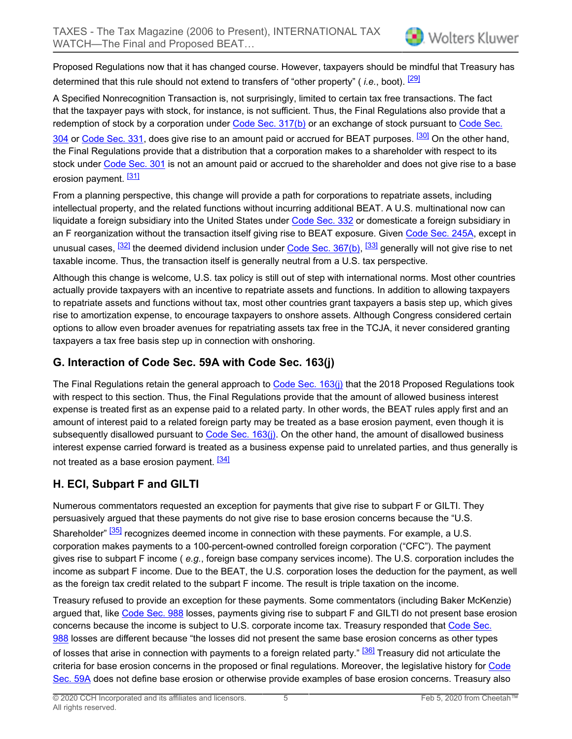<span id="page-4-0"></span>Proposed Regulations now that it has changed course. However, taxpayers should be mindful that Treasury has determined that this rule should not extend to transfers of "other property" ( *i.e.*, boot). [\[29\]](#page-9-15)

A Specified Nonrecognition Transaction is, not surprisingly, limited to certain tax free transactions. The fact that the taxpayer pays with stock, for instance, is not sufficient. Thus, the Final Regulations also provide that a redemption of stock by a corporation under [Code Sec. 317\(b\)](https://prod.resource.cch.com/resource/scion/citation/pit/S317%28b%29/IRC-FILE?cfu=Legal&cpid=WKUS-Legal-Cheetah&uAppCtx=cheetah) or an exchange of stock pursuant to [Code Sec.](https://prod.resource.cch.com/resource/scion/citation/pit/S304/IRC-FILE?cfu=Legal&cpid=WKUS-Legal-Cheetah&uAppCtx=cheetah)

<span id="page-4-1"></span>[304](https://prod.resource.cch.com/resource/scion/citation/pit/S304/IRC-FILE?cfu=Legal&cpid=WKUS-Legal-Cheetah&uAppCtx=cheetah) or [Code Sec. 331,](https://prod.resource.cch.com/resource/scion/citation/pit/S331/IRC-FILE?cfu=Legal&cpid=WKUS-Legal-Cheetah&uAppCtx=cheetah) does give rise to an amount paid or accrued for BEAT purposes. <sup>[\[30\]](#page-9-16)</sup> On the other hand, the Final Regulations provide that a distribution that a corporation makes to a shareholder with respect to its stock under [Code Sec. 301](https://prod.resource.cch.com/resource/scion/citation/pit/S301/IRC-FILE?cfu=Legal&cpid=WKUS-Legal-Cheetah&uAppCtx=cheetah) is not an amount paid or accrued to the shareholder and does not give rise to a base erosion payment. <sup>[\[31\]](#page-9-17)</sup>

<span id="page-4-2"></span>From a planning perspective, this change will provide a path for corporations to repatriate assets, including intellectual property, and the related functions without incurring additional BEAT. A U.S. multinational now can liquidate a foreign subsidiary into the United States under [Code Sec. 332](https://prod.resource.cch.com/resource/scion/citation/pit/S332/IRC-FILE?cfu=Legal&cpid=WKUS-Legal-Cheetah&uAppCtx=cheetah) or domesticate a foreign subsidiary in an F reorganization without the transaction itself giving rise to BEAT exposure. Given [Code Sec. 245A](https://prod.resource.cch.com/resource/scion/citation/pit/S245A/IRC-FILE?cfu=Legal&cpid=WKUS-Legal-Cheetah&uAppCtx=cheetah), except in unusual cases, <sup>[\[32\]](#page-9-18)</sup> the deemed dividend inclusion under <u>Code Sec. 367(b)</u>, <sup>[\[33\]](#page-9-19)</sup> generally will not give rise to net taxable income. Thus, the transaction itself is generally neutral from a U.S. tax perspective.

<span id="page-4-4"></span><span id="page-4-3"></span>Although this change is welcome, U.S. tax policy is still out of step with international norms. Most other countries actually provide taxpayers with an incentive to repatriate assets and functions. In addition to allowing taxpayers to repatriate assets and functions without tax, most other countries grant taxpayers a basis step up, which gives rise to amortization expense, to encourage taxpayers to onshore assets. Although Congress considered certain options to allow even broader avenues for repatriating assets tax free in the TCJA, it never considered granting taxpayers a tax free basis step up in connection with onshoring.

#### **G. Interaction of Code Sec. 59A with Code Sec. 163(j)**

The Final Regulations retain the general approach to [Code Sec. 163\(j\)](https://prod.resource.cch.com/resource/scion/citation/pit/S163%28j%29/IRC-FILE?cfu=Legal&cpid=WKUS-Legal-Cheetah&uAppCtx=cheetah) that the 2018 Proposed Regulations took with respect to this section. Thus, the Final Regulations provide that the amount of allowed business interest expense is treated first as an expense paid to a related party. In other words, the BEAT rules apply first and an amount of interest paid to a related foreign party may be treated as a base erosion payment, even though it is subsequently disallowed pursuant to [Code Sec. 163\(j\)](https://prod.resource.cch.com/resource/scion/citation/pit/S163%28j%29/IRC-FILE?cfu=Legal&cpid=WKUS-Legal-Cheetah&uAppCtx=cheetah). On the other hand, the amount of disallowed business interest expense carried forward is treated as a business expense paid to unrelated parties, and thus generally is not treated as a base erosion payment. <sup>[\[34\]](#page-9-20)</sup>

### <span id="page-4-5"></span>**H. ECI, Subpart F and GILTI**

<span id="page-4-6"></span>Numerous commentators requested an exception for payments that give rise to subpart F or GILTI. They persuasively argued that these payments do not give rise to base erosion concerns because the "U.S. Shareholder" <sup>[\[35\]](#page-9-21)</sup> recognizes deemed income in connection with these payments. For example, a U.S. corporation makes payments to a 100-percent-owned controlled foreign corporation ("CFC"). The payment gives rise to subpart F income ( *e.g.*, foreign base company services income). The U.S. corporation includes the income as subpart F income. Due to the BEAT, the U.S. corporation loses the deduction for the payment, as well as the foreign tax credit related to the subpart F income. The result is triple taxation on the income.

<span id="page-4-7"></span>Treasury refused to provide an exception for these payments. Some commentators (including Baker McKenzie) argued that, like [Code Sec. 988](https://prod.resource.cch.com/resource/scion/citation/pit/S988/IRC-FILE?cfu=Legal&cpid=WKUS-Legal-Cheetah&uAppCtx=cheetah) losses, payments giving rise to subpart F and GILTI do not present base erosion concerns because the income is subject to U.S. corporate income tax. Treasury responded that [Code Sec.](https://prod.resource.cch.com/resource/scion/citation/pit/S988/IRC-FILE?cfu=Legal&cpid=WKUS-Legal-Cheetah&uAppCtx=cheetah) [988](https://prod.resource.cch.com/resource/scion/citation/pit/S988/IRC-FILE?cfu=Legal&cpid=WKUS-Legal-Cheetah&uAppCtx=cheetah) losses are different because "the losses did not present the same base erosion concerns as other types of losses that arise in connection with payments to a foreign related party." <sup>[\[36\]](#page-9-22)</sup> Treasury did not articulate the criteria for base erosion concerns in the proposed or final regulations. Moreover, the legislative history for [Code](https://prod.resource.cch.com/resource/scion/citation/pit/S59A/IRC-FILE?cfu=Legal&cpid=WKUS-Legal-Cheetah&uAppCtx=cheetah) [Sec. 59A](https://prod.resource.cch.com/resource/scion/citation/pit/S59A/IRC-FILE?cfu=Legal&cpid=WKUS-Legal-Cheetah&uAppCtx=cheetah) does not define base erosion or otherwise provide examples of base erosion concerns. Treasury also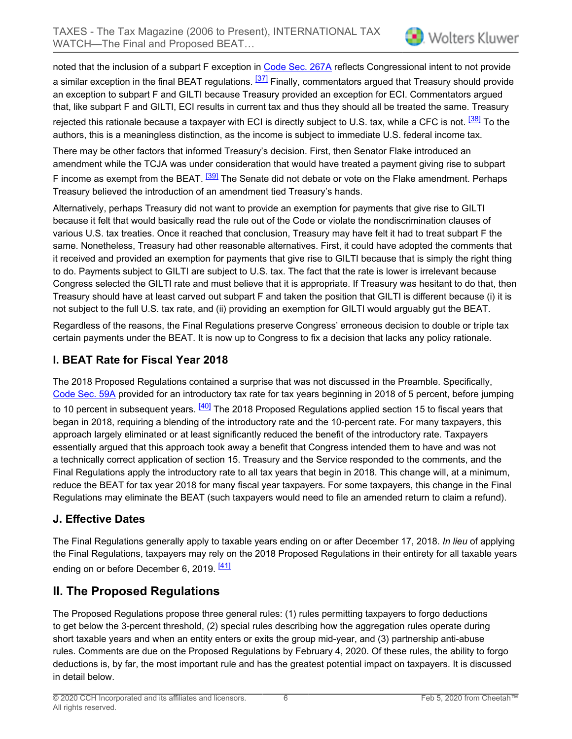<span id="page-5-0"></span>noted that the inclusion of a subpart F exception in [Code Sec. 267A](https://prod.resource.cch.com/resource/scion/citation/pit/S267A/IRC-FILE?cfu=Legal&cpid=WKUS-Legal-Cheetah&uAppCtx=cheetah) reflects Congressional intent to not provide a similar exception in the final BEAT regulations.  $\frac{37}{1}$  Finally, commentators argued that Treasury should provide an exception to subpart F and GILTI because Treasury provided an exception for ECI. Commentators argued that, like subpart F and GILTI, ECI results in current tax and thus they should all be treated the same. Treasury rejected this rationale because a taxpayer with ECI is directly subject to U.S. tax, while a CFC is not. <sup>[\[38\]](#page-9-24)</sup> To the authors, this is a meaningless distinction, as the income is subject to immediate U.S. federal income tax.

<span id="page-5-2"></span><span id="page-5-1"></span>There may be other factors that informed Treasury's decision. First, then Senator Flake introduced an amendment while the TCJA was under consideration that would have treated a payment giving rise to subpart F income as exempt from the BEAT. <sup>[\[39\]](#page-9-25)</sup> The Senate did not debate or vote on the Flake amendment. Perhaps Treasury believed the introduction of an amendment tied Treasury's hands.

Alternatively, perhaps Treasury did not want to provide an exemption for payments that give rise to GILTI because it felt that would basically read the rule out of the Code or violate the nondiscrimination clauses of various U.S. tax treaties. Once it reached that conclusion, Treasury may have felt it had to treat subpart F the same. Nonetheless, Treasury had other reasonable alternatives. First, it could have adopted the comments that it received and provided an exemption for payments that give rise to GILTI because that is simply the right thing to do. Payments subject to GILTI are subject to U.S. tax. The fact that the rate is lower is irrelevant because Congress selected the GILTI rate and must believe that it is appropriate. If Treasury was hesitant to do that, then Treasury should have at least carved out subpart F and taken the position that GILTI is different because (i) it is not subject to the full U.S. tax rate, and (ii) providing an exemption for GILTI would arguably gut the BEAT.

Regardless of the reasons, the Final Regulations preserve Congress' erroneous decision to double or triple tax certain payments under the BEAT. It is now up to Congress to fix a decision that lacks any policy rationale.

#### **I. BEAT Rate for Fiscal Year 2018**

<span id="page-5-3"></span>The 2018 Proposed Regulations contained a surprise that was not discussed in the Preamble. Specifically, [Code Sec. 59A](https://prod.resource.cch.com/resource/scion/citation/pit/S59A/IRC-FILE?cfu=Legal&cpid=WKUS-Legal-Cheetah&uAppCtx=cheetah) provided for an introductory tax rate for tax years beginning in 2018 of 5 percent, before jumping to 10 percent in subsequent years. <sup>[\[40\]](#page-9-26)</sup> The 2018 Proposed Regulations applied section 15 to fiscal years that began in 2018, requiring a blending of the introductory rate and the 10-percent rate. For many taxpayers, this approach largely eliminated or at least significantly reduced the benefit of the introductory rate. Taxpayers essentially argued that this approach took away a benefit that Congress intended them to have and was not a technically correct application of section 15. Treasury and the Service responded to the comments, and the Final Regulations apply the introductory rate to all tax years that begin in 2018. This change will, at a minimum, reduce the BEAT for tax year 2018 for many fiscal year taxpayers. For some taxpayers, this change in the Final Regulations may eliminate the BEAT (such taxpayers would need to file an amended return to claim a refund).

#### **J. Effective Dates**

The Final Regulations generally apply to taxable years ending on or after December 17, 2018. *In lieu* of applying the Final Regulations, taxpayers may rely on the 2018 Proposed Regulations in their entirety for all taxable years ending on or before December 6, 2019. <sup>[\[41\]](#page-9-27)</sup>

## <span id="page-5-4"></span>**II. The Proposed Regulations**

The Proposed Regulations propose three general rules: (1) rules permitting taxpayers to forgo deductions to get below the 3-percent threshold, (2) special rules describing how the aggregation rules operate during short taxable years and when an entity enters or exits the group mid-year, and (3) partnership anti-abuse rules. Comments are due on the Proposed Regulations by February 4, 2020. Of these rules, the ability to forgo deductions is, by far, the most important rule and has the greatest potential impact on taxpayers. It is discussed in detail below.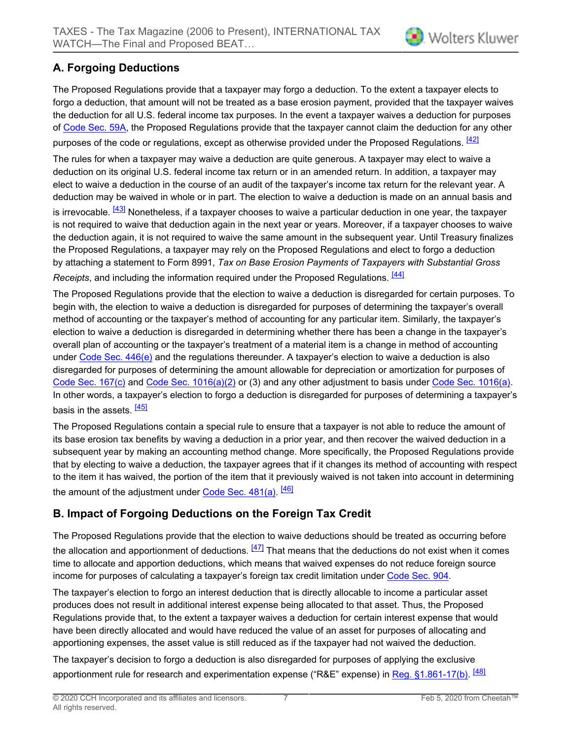## **A. Forgoing Deductions**

The Proposed Regulations provide that a taxpayer may forgo a deduction. To the extent a taxpayer elects to forgo a deduction, that amount will not be treated as a base erosion payment, provided that the taxpayer waives the deduction for all U.S. federal income tax purposes. In the event a taxpayer waives a deduction for purposes of [Code Sec. 59A,](https://prod.resource.cch.com/resource/scion/citation/pit/S59A/IRC-FILE?cfu=Legal&cpid=WKUS-Legal-Cheetah&uAppCtx=cheetah) the Proposed Regulations provide that the taxpayer cannot claim the deduction for any other purposes of the code or regulations, except as otherwise provided under the Proposed Regulations. [\[42\]](#page-10-0)

<span id="page-6-0"></span>The rules for when a taxpayer may waive a deduction are quite generous. A taxpayer may elect to waive a deduction on its original U.S. federal income tax return or in an amended return. In addition, a taxpayer may elect to waive a deduction in the course of an audit of the taxpayer's income tax return for the relevant year. A deduction may be waived in whole or in part. The election to waive a deduction is made on an annual basis and

<span id="page-6-1"></span>is irrevocable. <sup>[\[43\]](#page-10-1)</sup> Nonetheless, if a taxpayer chooses to waive a particular deduction in one year, the taxpayer is not required to waive that deduction again in the next year or years. Moreover, if a taxpayer chooses to waive the deduction again, it is not required to waive the same amount in the subsequent year. Until Treasury finalizes the Proposed Regulations, a taxpayer may rely on the Proposed Regulations and elect to forgo a deduction by attaching a statement to Form 8991, *Tax on Base Erosion Payments of Taxpayers with Substantial Gross Receipts*, and including the information required under the Proposed Requiations. [\[44\]](#page-10-2)

<span id="page-6-2"></span>The Proposed Regulations provide that the election to waive a deduction is disregarded for certain purposes. To begin with, the election to waive a deduction is disregarded for purposes of determining the taxpayer's overall method of accounting or the taxpayer's method of accounting for any particular item. Similarly, the taxpayer's election to waive a deduction is disregarded in determining whether there has been a change in the taxpayer's overall plan of accounting or the taxpayer's treatment of a material item is a change in method of accounting under Code Sec.  $446(e)$  and the regulations thereunder. A taxpayer's election to waive a deduction is also disregarded for purposes of determining the amount allowable for depreciation or amortization for purposes of [Code Sec. 167\(c\)](https://prod.resource.cch.com/resource/scion/citation/pit/S167%28c%29/IRC-FILE?cfu=Legal&cpid=WKUS-Legal-Cheetah&uAppCtx=cheetah) and [Code Sec. 1016\(a\)\(2\)](https://prod.resource.cch.com/resource/scion/citation/pit/S1016%28a%29%282%29/IRC-FILE?cfu=Legal&cpid=WKUS-Legal-Cheetah&uAppCtx=cheetah) or (3) and any other adjustment to basis under [Code Sec. 1016\(a\).](https://prod.resource.cch.com/resource/scion/citation/pit/S1016%28a%29/IRC-FILE?cfu=Legal&cpid=WKUS-Legal-Cheetah&uAppCtx=cheetah) In other words, a taxpayer's election to forgo a deduction is disregarded for purposes of determining a taxpayer's basis in the assets. [\[45\]](#page-10-3)

<span id="page-6-3"></span>The Proposed Regulations contain a special rule to ensure that a taxpayer is not able to reduce the amount of its base erosion tax benefits by waving a deduction in a prior year, and then recover the waived deduction in a subsequent year by making an accounting method change. More specifically, the Proposed Regulations provide that by electing to waive a deduction, the taxpayer agrees that if it changes its method of accounting with respect to the item it has waived, the portion of the item that it previously waived is not taken into account in determining the amount of the adjustment under <u>Code Sec. 481(a)</u>. <sup>[<u>46</u>]</sup>

#### <span id="page-6-4"></span>**B. Impact of Forgoing Deductions on the Foreign Tax Credit**

<span id="page-6-5"></span>The Proposed Regulations provide that the election to waive deductions should be treated as occurring before the allocation and apportionment of deductions.  $\frac{[47]}{[47]}$  $\frac{[47]}{[47]}$  $\frac{[47]}{[47]}$  That means that the deductions do not exist when it comes time to allocate and apportion deductions, which means that waived expenses do not reduce foreign source income for purposes of calculating a taxpayer's foreign tax credit limitation under [Code Sec. 904](https://prod.resource.cch.com/resource/scion/citation/pit/S904/IRC-FILE?cfu=Legal&cpid=WKUS-Legal-Cheetah&uAppCtx=cheetah).

The taxpayer's election to forgo an interest deduction that is directly allocable to income a particular asset produces does not result in additional interest expense being allocated to that asset. Thus, the Proposed Regulations provide that, to the extent a taxpayer waives a deduction for certain interest expense that would have been directly allocated and would have reduced the value of an asset for purposes of allocating and apportioning expenses, the asset value is still reduced as if the taxpayer had not waived the deduction.

<span id="page-6-6"></span>The taxpayer's decision to forgo a deduction is also disregarded for purposes of applying the exclusive apportionment rule for research and experimentation expense ("R&E" expense) in <u>Reg. §1.861-17(b)</u>. <sup>[<u>48]</u></sup>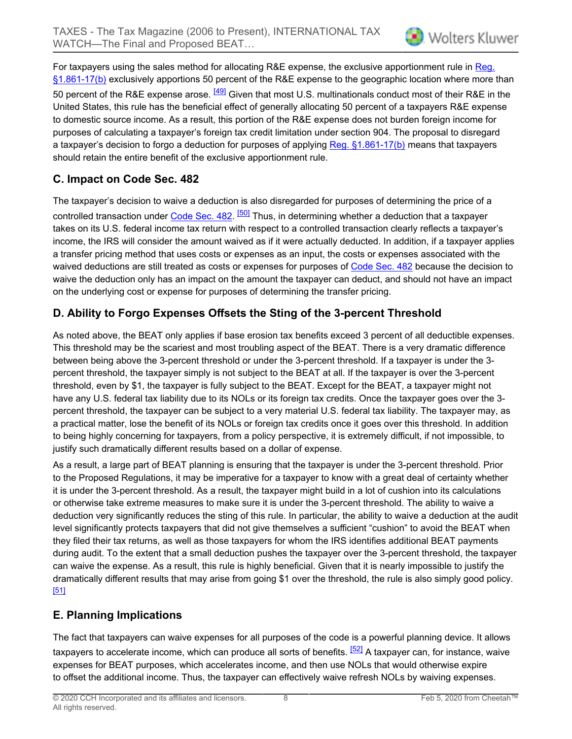<span id="page-7-0"></span>For taxpayers using the sales method for allocating R&E expense, the exclusive apportionment rule in [Reg.](https://prod.resource.cch.com/resource/scion/citation/pit/S1.861-17%28b%29/FED-FNL?cfu=Legal&cpid=WKUS-Legal-Cheetah&uAppCtx=cheetah) [§1.861-17\(b\)](https://prod.resource.cch.com/resource/scion/citation/pit/S1.861-17%28b%29/FED-FNL?cfu=Legal&cpid=WKUS-Legal-Cheetah&uAppCtx=cheetah) exclusively apportions 50 percent of the R&E expense to the geographic location where more than 50 percent of the R&E expense arose. <sup>[\[49\]](#page-10-7)</sup> Given that most U.S. multinationals conduct most of their R&E in the United States, this rule has the beneficial effect of generally allocating 50 percent of a taxpayers R&E expense to domestic source income. As a result, this portion of the R&E expense does not burden foreign income for purposes of calculating a taxpayer's foreign tax credit limitation under section 904. The proposal to disregard a taxpayer's decision to forgo a deduction for purposes of applying [Reg. §1.861-17\(b\)](https://prod.resource.cch.com/resource/scion/citation/pit/S1.861-17%28b%29/FED-FNL?cfu=Legal&cpid=WKUS-Legal-Cheetah&uAppCtx=cheetah) means that taxpayers should retain the entire benefit of the exclusive apportionment rule.

#### **C. Impact on Code Sec. 482**

<span id="page-7-1"></span>The taxpayer's decision to waive a deduction is also disregarded for purposes of determining the price of a controlled transaction under <u>Code Sec. 482</u>. <sup>[\[50\]](#page-10-8)</sup> Thus, in determining whether a deduction that a taxpayer takes on its U.S. federal income tax return with respect to a controlled transaction clearly reflects a taxpayer's income, the IRS will consider the amount waived as if it were actually deducted. In addition, if a taxpayer applies a transfer pricing method that uses costs or expenses as an input, the costs or expenses associated with the waived deductions are still treated as costs or expenses for purposes of [Code Sec. 482](https://prod.resource.cch.com/resource/scion/citation/pit/S482/IRC-FILE?cfu=Legal&cpid=WKUS-Legal-Cheetah&uAppCtx=cheetah) because the decision to waive the deduction only has an impact on the amount the taxpayer can deduct, and should not have an impact on the underlying cost or expense for purposes of determining the transfer pricing.

## **D. Ability to Forgo Expenses Offsets the Sting of the 3-percent Threshold**

As noted above, the BEAT only applies if base erosion tax benefits exceed 3 percent of all deductible expenses. This threshold may be the scariest and most troubling aspect of the BEAT. There is a very dramatic difference between being above the 3-percent threshold or under the 3-percent threshold. If a taxpayer is under the 3 percent threshold, the taxpayer simply is not subject to the BEAT at all. If the taxpayer is over the 3-percent threshold, even by \$1, the taxpayer is fully subject to the BEAT. Except for the BEAT, a taxpayer might not have any U.S. federal tax liability due to its NOLs or its foreign tax credits. Once the taxpayer goes over the 3 percent threshold, the taxpayer can be subject to a very material U.S. federal tax liability. The taxpayer may, as a practical matter, lose the benefit of its NOLs or foreign tax credits once it goes over this threshold. In addition to being highly concerning for taxpayers, from a policy perspective, it is extremely difficult, if not impossible, to justify such dramatically different results based on a dollar of expense.

As a result, a large part of BEAT planning is ensuring that the taxpayer is under the 3-percent threshold. Prior to the Proposed Regulations, it may be imperative for a taxpayer to know with a great deal of certainty whether it is under the 3-percent threshold. As a result, the taxpayer might build in a lot of cushion into its calculations or otherwise take extreme measures to make sure it is under the 3-percent threshold. The ability to waive a deduction very significantly reduces the sting of this rule. In particular, the ability to waive a deduction at the audit level significantly protects taxpayers that did not give themselves a sufficient "cushion" to avoid the BEAT when they filed their tax returns, as well as those taxpayers for whom the IRS identifies additional BEAT payments during audit. To the extent that a small deduction pushes the taxpayer over the 3-percent threshold, the taxpayer can waive the expense. As a result, this rule is highly beneficial. Given that it is nearly impossible to justify the dramatically different results that may arise from going \$1 over the threshold, the rule is also simply good policy. [\[51\]](#page-10-9)

#### <span id="page-7-2"></span>**E. Planning Implications**

<span id="page-7-3"></span>The fact that taxpayers can waive expenses for all purposes of the code is a powerful planning device. It allows taxpayers to accelerate income, which can produce all sorts of benefits. <sup>[\[52\]](#page-10-10)</sup> A taxpayer can, for instance, waive expenses for BEAT purposes, which accelerates income, and then use NOLs that would otherwise expire to offset the additional income. Thus, the taxpayer can effectively waive refresh NOLs by waiving expenses.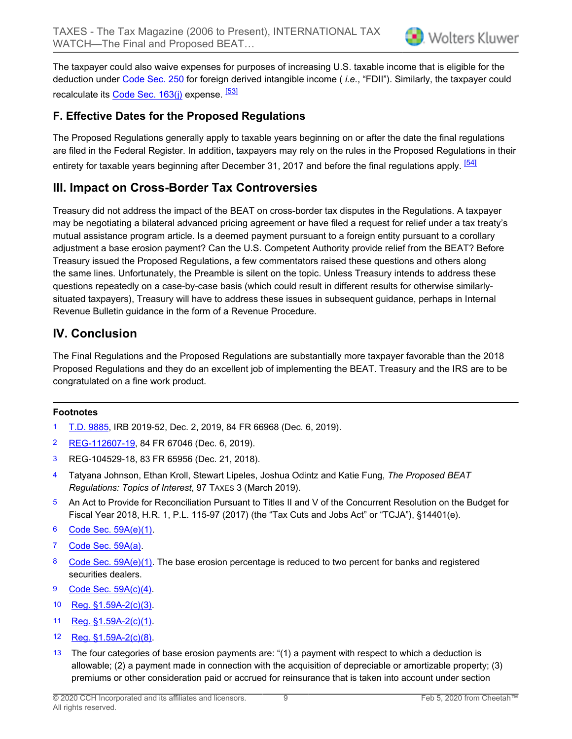The taxpayer could also waive expenses for purposes of increasing U.S. taxable income that is eligible for the deduction under [Code Sec. 250](https://prod.resource.cch.com/resource/scion/citation/pit/S250/IRC-FILE?cfu=Legal&cpid=WKUS-Legal-Cheetah&uAppCtx=cheetah) for foreign derived intangible income ( *i.e.*, "FDII"). Similarly, the taxpayer could recalculate its [Code Sec. 163\(j\)](https://prod.resource.cch.com/resource/scion/citation/pit/S163%28j%29/IRC-FILE?cfu=Legal&cpid=WKUS-Legal-Cheetah&uAppCtx=cheetah) expense. <sup>[\[53\]](#page-10-11)</sup>

#### <span id="page-8-13"></span>**F. Effective Dates for the Proposed Regulations**

<span id="page-8-14"></span>The Proposed Regulations generally apply to taxable years beginning on or after the date the final regulations are filed in the Federal Register. In addition, taxpayers may rely on the rules in the Proposed Regulations in their entirety for taxable years beginning after December 31, 2017 and before the final regulations apply. [\[54\]](#page-10-12)

### **III. Impact on Cross-Border Tax Controversies**

Treasury did not address the impact of the BEAT on cross-border tax disputes in the Regulations. A taxpayer may be negotiating a bilateral advanced pricing agreement or have filed a request for relief under a tax treaty's mutual assistance program article. Is a deemed payment pursuant to a foreign entity pursuant to a corollary adjustment a base erosion payment? Can the U.S. Competent Authority provide relief from the BEAT? Before Treasury issued the Proposed Regulations, a few commentators raised these questions and others along the same lines. Unfortunately, the Preamble is silent on the topic. Unless Treasury intends to address these questions repeatedly on a case-by-case basis (which could result in different results for otherwise similarlysituated taxpayers), Treasury will have to address these issues in subsequent guidance, perhaps in Internal Revenue Bulletin guidance in the form of a Revenue Procedure.

## **IV. Conclusion**

The Final Regulations and the Proposed Regulations are substantially more taxpayer favorable than the 2018 Proposed Regulations and they do an excellent job of implementing the BEAT. Treasury and the IRS are to be congratulated on a fine work product.

#### **Footnotes**

- <span id="page-8-0"></span>[1](#page-0-0) [T.D. 9885](https://prod.resource.cch.com/resource/scion/citation/pit/TD9885/RCB-RUL?cfu=Legal&cpid=WKUS-Legal-Cheetah&uAppCtx=cheetah), IRB 2019-52, Dec. 2, 2019, 84 FR 66968 (Dec. 6, 2019).
- <span id="page-8-1"></span>[2](#page-0-1) [REG-112607-19,](https://prod.resource.cch.com/resource/scion/citation/pit/NPRMREG-112607-19/RCB-RUL?cfu=Legal&cpid=WKUS-Legal-Cheetah&uAppCtx=cheetah) 84 FR 67046 (Dec. 6, 2019).
- <span id="page-8-2"></span>[3](#page-0-2) REG-104529-18, 83 FR 65956 (Dec. 21, 2018).
- <span id="page-8-3"></span>[4](#page-0-3) Tatyana Johnson, Ethan Kroll, Stewart Lipeles, Joshua Odintz and Katie Fung, *The Proposed BEAT Regulations: Topics of Interest*, 97 TAXES 3 (March 2019).
- <span id="page-8-4"></span>[5](#page-0-4) An Act to Provide for Reconciliation Pursuant to Titles II and V of the Concurrent Resolution on the Budget for Fiscal Year 2018, H.R. 1, P.L. 115-97 (2017) (the "Tax Cuts and Jobs Act" or "TCJA"), §14401(e).
- <span id="page-8-5"></span>[6](#page-0-5) [Code Sec. 59A\(e\)\(1\).](https://prod.resource.cch.com/resource/scion/citation/pit/S59A%28e%29%281%29/IRC-FILE?cfu=Legal&cpid=WKUS-Legal-Cheetah&uAppCtx=cheetah)
- <span id="page-8-6"></span>[7](#page-0-6) [Code Sec. 59A\(a\)](https://prod.resource.cch.com/resource/scion/citation/pit/S59A%28a%29/IRC-FILE?cfu=Legal&cpid=WKUS-Legal-Cheetah&uAppCtx=cheetah).
- <span id="page-8-7"></span>[8](#page-0-7) [Code Sec. 59A\(e\)\(1\).](https://prod.resource.cch.com/resource/scion/citation/pit/S59A%28e%29%281%29/IRC-FILE?cfu=Legal&cpid=WKUS-Legal-Cheetah&uAppCtx=cheetah) The base erosion percentage is reduced to two percent for banks and registered securities dealers.
- <span id="page-8-8"></span>[9](#page-0-8) [Code Sec. 59A\(c\)\(4\)](https://prod.resource.cch.com/resource/scion/citation/pit/S59A%28c%29%284%29/IRC-FILE?cfu=Legal&cpid=WKUS-Legal-Cheetah&uAppCtx=cheetah).
- <span id="page-8-9"></span>[10](#page-1-0) [Reg. §1.59A-2\(c\)\(3\).](https://prod.resource.cch.com/resource/scion/citation/pit/S1.59A-2%28c%29%283%29/FED-FNL?cfu=Legal&cpid=WKUS-Legal-Cheetah&uAppCtx=cheetah)
- <span id="page-8-10"></span>[11](#page-1-1) [Reg. §1.59A-2\(c\)\(1\).](https://prod.resource.cch.com/resource/scion/citation/pit/S1.59A-2%28c%29%281%29/FED-FNL?cfu=Legal&cpid=WKUS-Legal-Cheetah&uAppCtx=cheetah)
- <span id="page-8-11"></span>[12](#page-1-2) [Reg. §1.59A-2\(c\)\(8\).](https://prod.resource.cch.com/resource/scion/citation/pit/S1.59A-2%28c%29%288%29/FED-FNL?cfu=Legal&cpid=WKUS-Legal-Cheetah&uAppCtx=cheetah)
- <span id="page-8-12"></span>[13](#page-1-3) The four categories of base erosion payments are: " $(1)$  a payment with respect to which a deduction is allowable; (2) a payment made in connection with the acquisition of depreciable or amortizable property; (3) premiums or other consideration paid or accrued for reinsurance that is taken into account under section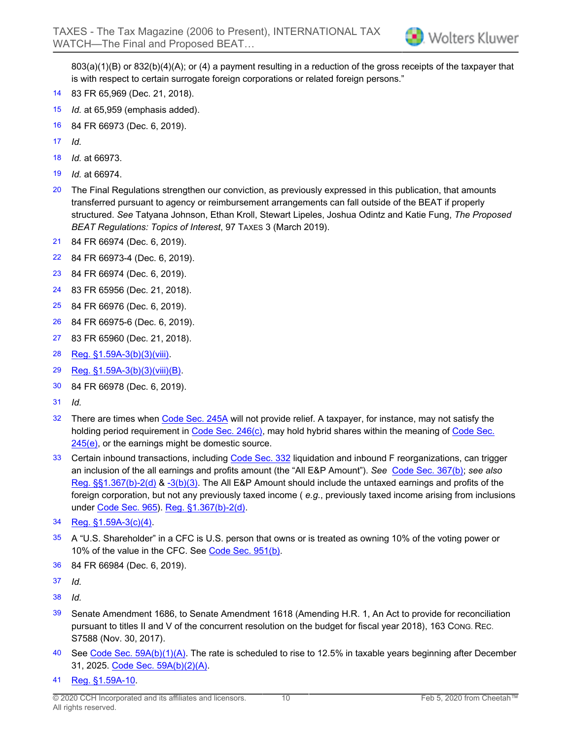803(a)(1)(B) or 832(b)(4)(A); or (4) a payment resulting in a reduction of the gross receipts of the taxpayer that is with respect to certain surrogate foreign corporations or related foreign persons."

- <span id="page-9-0"></span>[14](#page-1-4) 83 FR 65,969 (Dec. 21, 2018).
- <span id="page-9-1"></span>[15](#page-1-5) *Id.* at 65,959 (emphasis added).
- <span id="page-9-2"></span>[16](#page-1-6) 84 FR 66973 (Dec. 6, 2019).
- <span id="page-9-3"></span>[17](#page-1-7) *Id.*
- <span id="page-9-4"></span>[18](#page-2-0) *Id.* at 66973.
- <span id="page-9-5"></span>[19](#page-2-1) *Id.* at 66974.
- <span id="page-9-6"></span>[20](#page-2-2) The Final Regulations strengthen our conviction, as previously expressed in this publication, that amounts transferred pursuant to agency or reimbursement arrangements can fall outside of the BEAT if properly structured. *See* Tatyana Johnson, Ethan Kroll, Stewart Lipeles, Joshua Odintz and Katie Fung, *The Proposed BEAT Regulations: Topics of Interest*, 97 TAXES 3 (March 2019).
- <span id="page-9-7"></span>[21](#page-2-3) 84 FR 66974 (Dec. 6, 2019).
- <span id="page-9-8"></span>[22](#page-2-4) 84 FR 66973-4 (Dec. 6, 2019).
- <span id="page-9-9"></span>[23](#page-2-5) 84 FR 66974 (Dec. 6, 2019).
- <span id="page-9-10"></span>[24](#page-3-0) 83 FR 65956 (Dec. 21, 2018).
- <span id="page-9-11"></span>[25](#page-3-1) 84 FR 66976 (Dec. 6, 2019).
- <span id="page-9-12"></span>[26](#page-3-2) 84 FR 66975-6 (Dec. 6, 2019).
- <span id="page-9-13"></span>[27](#page-3-3) 83 FR 65960 (Dec. 21, 2018).
- <span id="page-9-14"></span>[28](#page-3-4) [Reg. §1.59A-3\(b\)\(3\)\(viii\).](https://prod.resource.cch.com/resource/scion/citation/pit/S1.59A-3%28b%29%283%29%28viii%29/FED-FNL?cfu=Legal&cpid=WKUS-Legal-Cheetah&uAppCtx=cheetah)
- <span id="page-9-15"></span>[29](#page-4-0) [Reg. §1.59A-3\(b\)\(3\)\(viii\)\(B\).](https://prod.resource.cch.com/resource/scion/citation/pit/S1.59A-3%28b%29%283%29%28viii%29%28B%29/FED-FNL?cfu=Legal&cpid=WKUS-Legal-Cheetah&uAppCtx=cheetah)
- <span id="page-9-16"></span>[30](#page-4-1) 84 FR 66978 (Dec. 6, 2019).
- <span id="page-9-17"></span>[31](#page-4-2) *Id.*
- <span id="page-9-18"></span>[32](#page-4-3) There are times when [Code Sec. 245A](https://prod.resource.cch.com/resource/scion/citation/pit/S245A/IRC-FILE?cfu=Legal&cpid=WKUS-Legal-Cheetah&uAppCtx=cheetah) will not provide relief. A taxpayer, for instance, may not satisfy the holding period requirement in [Code Sec. 246\(c\),](https://prod.resource.cch.com/resource/scion/citation/pit/S246%28c%29/IRC-FILE?cfu=Legal&cpid=WKUS-Legal-Cheetah&uAppCtx=cheetah) may hold hybrid shares within the meaning of [Code Sec.](https://prod.resource.cch.com/resource/scion/citation/pit/S245%28e%29/IRC-FILE?cfu=Legal&cpid=WKUS-Legal-Cheetah&uAppCtx=cheetah) [245\(e\),](https://prod.resource.cch.com/resource/scion/citation/pit/S245%28e%29/IRC-FILE?cfu=Legal&cpid=WKUS-Legal-Cheetah&uAppCtx=cheetah) or the earnings might be domestic source.
- <span id="page-9-19"></span>[33](#page-4-4) Certain inbound transactions, including [Code Sec. 332](https://prod.resource.cch.com/resource/scion/citation/pit/S332/IRC-FILE?cfu=Legal&cpid=WKUS-Legal-Cheetah&uAppCtx=cheetah) liquidation and inbound F reorganizations, can trigger an inclusion of the all earnings and profits amount (the "All E&P Amount"). *See* [Code Sec. 367\(b\)](https://prod.resource.cch.com/resource/scion/citation/pit/S367%28b%29/IRC-FILE?cfu=Legal&cpid=WKUS-Legal-Cheetah&uAppCtx=cheetah); *see also* [Reg. §§1.367\(b\)-2\(d\)](https://prod.resource.cch.com/resource/scion/citation/pit/S1.367%28b%29-2%28d%29/FED-FNL?cfu=Legal&cpid=WKUS-Legal-Cheetah&uAppCtx=cheetah) & [-3\(b\)\(3\).](https://prod.resource.cch.com/resource/scion/citation/pit/S1.367%28b%29-3%28b%29%283%29/FED-FNL?cfu=Legal&cpid=WKUS-Legal-Cheetah&uAppCtx=cheetah) The All E&P Amount should include the untaxed earnings and profits of the foreign corporation, but not any previously taxed income ( *e.g.*, previously taxed income arising from inclusions under [Code Sec. 965](https://prod.resource.cch.com/resource/scion/citation/pit/S965/IRC-FILE?cfu=Legal&cpid=WKUS-Legal-Cheetah&uAppCtx=cheetah)). [Reg. §1.367\(b\)-2\(d\).](https://prod.resource.cch.com/resource/scion/citation/pit/S1.367%28b%29-2%28d%29/FED-FNL?cfu=Legal&cpid=WKUS-Legal-Cheetah&uAppCtx=cheetah)
- <span id="page-9-20"></span>[34](#page-4-5) [Reg. §1.59A-3\(c\)\(4\).](https://prod.resource.cch.com/resource/scion/citation/pit/S1.59A-3%28c%29%284%29/FED-FNL?cfu=Legal&cpid=WKUS-Legal-Cheetah&uAppCtx=cheetah)
- <span id="page-9-21"></span>[35](#page-4-6) A "U.S. Shareholder" in a CFC is U.S. person that owns or is treated as owning 10% of the voting power or 10% of the value in the CFC. See [Code Sec. 951\(b\).](https://prod.resource.cch.com/resource/scion/citation/pit/S951%28b%29/IRC-FILE?cfu=Legal&cpid=WKUS-Legal-Cheetah&uAppCtx=cheetah)
- <span id="page-9-22"></span>[36](#page-4-7) 84 FR 66984 (Dec. 6, 2019).
- <span id="page-9-23"></span>[37](#page-5-0) *Id.*
- <span id="page-9-24"></span>[38](#page-5-1) *Id.*
- <span id="page-9-25"></span>[39](#page-5-2) Senate Amendment 1686, to Senate Amendment 1618 (Amending H.R. 1, An Act to provide for reconciliation pursuant to titles II and V of the concurrent resolution on the budget for fiscal year 2018), 163 CONG. REC. S7588 (Nov. 30, 2017).
- <span id="page-9-26"></span>[40](#page-5-3) See [Code Sec. 59A\(b\)\(1\)\(A\).](https://prod.resource.cch.com/resource/scion/citation/pit/S59A%28b%29%281%29%28A%29/IRC-FILE?cfu=Legal&cpid=WKUS-Legal-Cheetah&uAppCtx=cheetah) The rate is scheduled to rise to 12.5% in taxable years beginning after December 31, 2025. [Code Sec. 59A\(b\)\(2\)\(A\).](https://prod.resource.cch.com/resource/scion/citation/pit/S59A%28b%29%282%29%28A%29/IRC-FILE?cfu=Legal&cpid=WKUS-Legal-Cheetah&uAppCtx=cheetah)
- <span id="page-9-27"></span>[41](#page-5-4) [Reg. §1.59A-10.](https://prod.resource.cch.com/resource/scion/citation/pit/S1.59A-10/FED-FNL?cfu=Legal&cpid=WKUS-Legal-Cheetah&uAppCtx=cheetah)